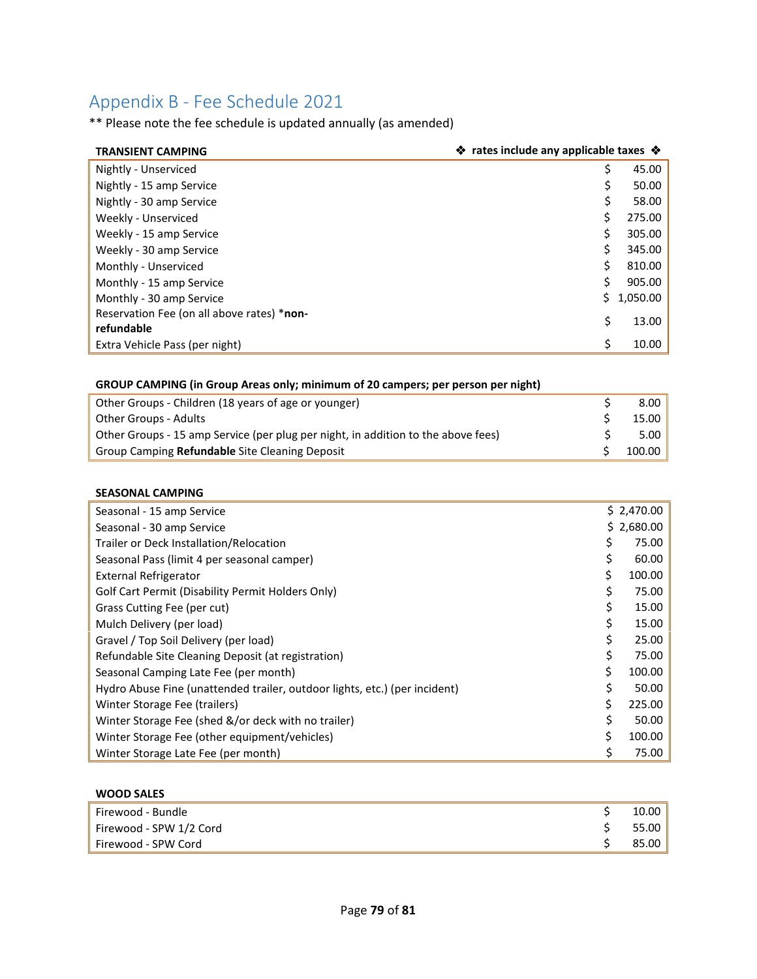# Appendix B - Fee Schedule 2021

\*\* Please note the fee schedule is updated annually (as amended)

| <b>TRANSIENT CAMPING</b>                   | ❖ rates include any applicable taxes ❖ |          |
|--------------------------------------------|----------------------------------------|----------|
| Nightly - Unserviced                       | S                                      | 45.00    |
| Nightly - 15 amp Service                   |                                        | 50.00    |
| Nightly - 30 amp Service                   |                                        | 58.00    |
| Weekly - Unserviced                        |                                        | 275.00   |
| Weekly - 15 amp Service                    |                                        | 305.00   |
| Weekly - 30 amp Service                    | Ś                                      | 345.00   |
| Monthly - Unserviced                       |                                        | 810.00   |
| Monthly - 15 amp Service                   | Ś                                      | 905.00   |
| Monthly - 30 amp Service                   | S.                                     | 1,050.00 |
| Reservation Fee (on all above rates) *non- | Ś                                      | 13.00    |
| refundable                                 |                                        |          |
| Extra Vehicle Pass (per night)             | ς                                      | 10.00    |

## **GROUP CAMPING (in Group Areas only; minimum of 20 campers; per person per night)**

| Other Groups - Children (18 years of age or younger)                              |  | 8.00   |
|-----------------------------------------------------------------------------------|--|--------|
| Other Groups - Adults                                                             |  | 15.00  |
| Other Groups - 15 amp Service (per plug per night, in addition to the above fees) |  | 5.00   |
| Group Camping Refundable Site Cleaning Deposit                                    |  | 100.00 |

#### **SEASONAL CAMPING**

| Seasonal - 15 amp Service                                                  |    | \$2,470.00 |
|----------------------------------------------------------------------------|----|------------|
| Seasonal - 30 amp Service                                                  |    | \$2,680.00 |
| Trailer or Deck Installation/Relocation                                    | \$ | 75.00      |
| Seasonal Pass (limit 4 per seasonal camper)                                |    | 60.00      |
| <b>External Refrigerator</b>                                               | Ś. | 100.00     |
| Golf Cart Permit (Disability Permit Holders Only)                          |    | 75.00      |
| Grass Cutting Fee (per cut)                                                |    | 15.00      |
| Mulch Delivery (per load)                                                  |    | 15.00      |
| Gravel / Top Soil Delivery (per load)                                      |    | 25.00      |
| Refundable Site Cleaning Deposit (at registration)                         | Ś  | 75.00      |
| Seasonal Camping Late Fee (per month)                                      | Ś. | 100.00     |
| Hydro Abuse Fine (unattended trailer, outdoor lights, etc.) (per incident) |    | 50.00      |
| Winter Storage Fee (trailers)                                              |    | 225.00     |
| Winter Storage Fee (shed &/or deck with no trailer)                        |    | 50.00      |
| Winter Storage Fee (other equipment/vehicles)                              |    | 100.00     |
| Winter Storage Late Fee (per month)                                        |    | 75.00      |

| <b>WOOD SALES</b>       |       |
|-------------------------|-------|
| Firewood - Bundle       | 10.00 |
| Firewood - SPW 1/2 Cord | 55.00 |
| Firewood - SPW Cord     | 85.00 |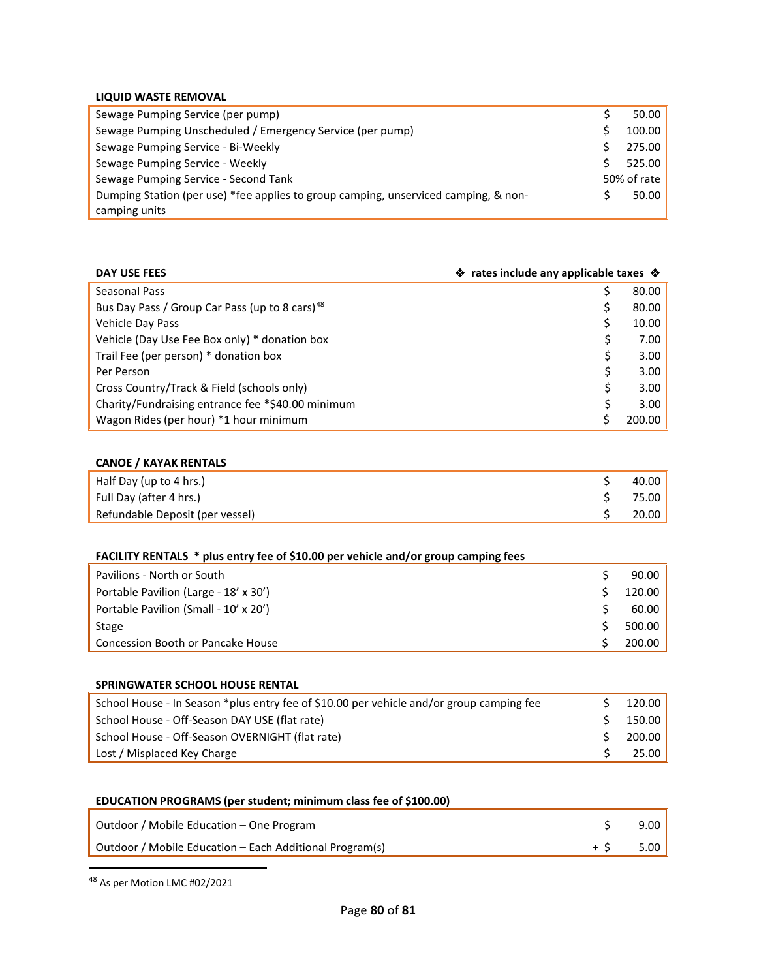## **LIQUID WASTE REMOVAL**

| Sewage Pumping Service (per pump)                                                   | 50.00       |
|-------------------------------------------------------------------------------------|-------------|
| Sewage Pumping Unscheduled / Emergency Service (per pump)                           | 100.00      |
| Sewage Pumping Service - Bi-Weekly                                                  | 275.00      |
| Sewage Pumping Service - Weekly                                                     | 525.00      |
| Sewage Pumping Service - Second Tank                                                | 50% of rate |
| Dumping Station (per use) *fee applies to group camping, unserviced camping, & non- | 50.00       |
| camping units                                                                       |             |

| ❖ rates include any applicable taxes ❖<br>DAY USE FEES     |  |        |
|------------------------------------------------------------|--|--------|
| Seasonal Pass                                              |  | 80.00  |
| Bus Day Pass / Group Car Pass (up to 8 cars) <sup>48</sup> |  | 80.00  |
| Vehicle Day Pass                                           |  | 10.00  |
| Vehicle (Day Use Fee Box only) * donation box              |  | 7.00   |
| Trail Fee (per person) * donation box                      |  | 3.00   |
| Per Person                                                 |  | 3.00   |
| Cross Country/Track & Field (schools only)                 |  | 3.00   |
| Charity/Fundraising entrance fee *\$40.00 minimum          |  | 3.00   |
| Wagon Rides (per hour) *1 hour minimum                     |  | 200.00 |

### **CANOE / KAYAK RENTALS**

| Half Day (up to 4 hrs.)         | 40.00 |
|---------------------------------|-------|
| Full Day (after 4 hrs.)         | 75.00 |
| Refundable Deposit (per vessel) | 20.00 |

|  | FACILITY RENTALS * plus entry fee of \$10.00 per vehicle and/or group camping fees |  |
|--|------------------------------------------------------------------------------------|--|
|--|------------------------------------------------------------------------------------|--|

| Pavilions - North or South            | 90.00  |
|---------------------------------------|--------|
| Portable Pavilion (Large - 18' x 30') | 120.00 |
| Portable Pavilion (Small - 10' x 20') | 60.00  |
| Stage                                 | 500.00 |
| Concession Booth or Pancake House     | 200.00 |

| <b>SPRINGWATER SCHOOL HOUSE RENTAL</b>                                                   |        |
|------------------------------------------------------------------------------------------|--------|
| School House - In Season *plus entry fee of \$10.00 per vehicle and/or group camping fee | 120.00 |
| School House - Off-Season DAY USE (flat rate)                                            | 150.00 |
| School House - Off-Season OVERNIGHT (flat rate)                                          | 200.00 |
| Lost / Misplaced Key Charge                                                              | 25.00  |

| EDUCATION PROGRAMS (per student; minimum class fee of \$100.00) |  |  |
|-----------------------------------------------------------------|--|--|
|-----------------------------------------------------------------|--|--|

| Outdoor / Mobile Education - One Program                | 9.00 |
|---------------------------------------------------------|------|
| Outdoor / Mobile Education – Each Additional Program(s) | 5.00 |

<span id="page-1-0"></span>48 As per Motion LMC #02/2021